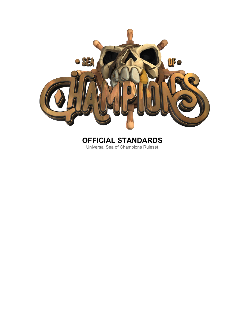

# **OFFICIAL STANDARDS** Universal Sea of Champions Ruleset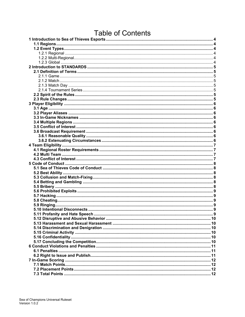# **Table of Contents**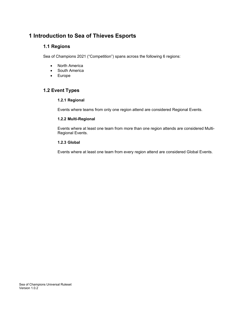# <span id="page-3-1"></span><span id="page-3-0"></span>**1 Introduction to Sea of Thieves Esports**

### **1.1 Regions**

Sea of Champions 2021 ("Competition") spans across the following 6 regions:

- North America
- South America
- Europe

# <span id="page-3-4"></span><span id="page-3-3"></span><span id="page-3-2"></span>**1.2 Event Types**

#### **1.2.1 Regional**

Events where teams from only one region attend are considered Regional Events.

#### **1.2.2 Multi-Regional**

Events where at least one team from more than one region attends are considered Multi-Regional Events.

#### <span id="page-3-5"></span>**1.2.3 Global**

Events where at least one team from every region attend are considered Global Events.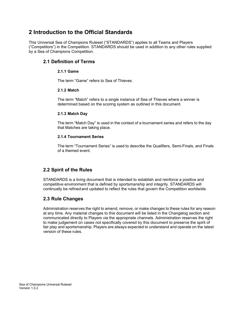# <span id="page-4-0"></span>**2 Introduction to the Official Standards**

<span id="page-4-1"></span>This Universal Sea of Champions Ruleset ("STANDARDS") applies to all Teams and Players ("Competitors") in the Competition. STANDARDS should be used in addition to any other rules supplied by a Sea of Champions Competition.

### <span id="page-4-3"></span><span id="page-4-2"></span>**2.1 Definition of Terms**

#### **2.1.1 Game**

The term "Game" refers to Sea of Thieves.

#### **2.1.2 Match**

The term "Match" refers to a single instance of Sea of Thieves where a winner is determined based on the scoring system as outlined in this document.

#### <span id="page-4-4"></span>**2.1.3 Match Day**

The term "Match Day" is used in the context of a tournament series and refers to the day that Matches are taking place.

#### **2.1.4 Tournament Series**

The term "Tournament Series" is used to describe the Qualifiers, Semi-Finals, and Finals of a themed event.

#### <span id="page-4-5"></span>**2.2 Spirit of the Rules**

STANDARDS is a living document that is intended to establish and reinforce a positive and competitive environment that is defined by sportsmanship and integrity. STANDARDS will continually be refinedand updated to reflect the rules that govern the Competition worldwide.

#### <span id="page-4-6"></span>**2.3 Rule Changes**

Administration reserves the right to amend, remove, or make changes to these rules for any reason at any time. Any material changes to this document will be listed in the Changelog section and communicated directly to Players via the appropriate channels. Administration reserves the right to make judgement on cases not specifically covered by this document to preserve the spirit of fair play and sportsmanship. Players are always expected to understand and operate on the latest version of these rules.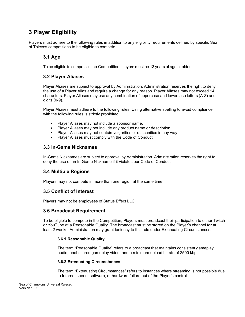# <span id="page-5-0"></span>**3 Player Eligibility**

<span id="page-5-1"></span>Players must adhere to the following rules in addition to any eligibility requirements defined by specific Sea of Thieves competitions to be eligible to compete.

### **3.1 Age**

To be eligible to compete in the Competition, players must be 13 years of age or older.

#### <span id="page-5-2"></span>**3.2 Player Aliases**

Player Aliases are subject to approval by Administration. Administration reserves the right to deny the use of a Player Alias and require a change for any reason. Player Aliases may not exceed 14 characters. Player Aliases may use any combination of uppercase and lowercase letters (A-Z) and digits (0-9).

Player Aliases must adhere to the following rules. Using alternative spelling to avoid compliance with the following rules is strictly prohibited.

- Player Aliases may not include a sponsor name.
- Player Aliases may not include any product name or description.
- Player Aliases may not contain vulgarities or obscenities in any way.
- Player Aliases must comply with the Code of Conduct.

#### <span id="page-5-3"></span>**3.3 In-Game Nicknames**

In-Game Nicknames are subject to approval by Administration. Administration reserves the right to deny the use of an In-Game Nickname if it violates our Code of Conduct.

#### <span id="page-5-4"></span>**3.4 Multiple Regions**

<span id="page-5-5"></span>Players may not compete in more than one region at the same time.

#### **3.5 Conflict of Interest**

Players may not be employees of Status Effect LLC.

#### **3.6 Broadcast Requirement**

To be eligible to compete in the Competition, Players must broadcast their participation to either Twitch or YouTube at a Reasonable Quality. The broadcast must be stored on the Player's channel for at least 2 weeks. Administration may grant leniency to this rule under Extenuating Circumstances.

#### **3.6.1 Reasonable Quality**

The term "Reasonable Quality" refers to a broadcast that maintains consistent gameplay audio, unobscured gameplay video, and a minimum upload bitrate of 2500 kbps.

#### **3.6.2 Extenuating Circumstances**

The term "Extenuating Circumstances" refers to instances where streaming is not possible due to Internet speed, software, or hardware failure out of the Player's control.

Sea of Champions Universal Ruleset Version 1.0.2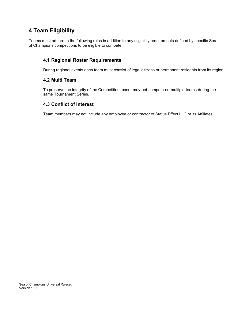# <span id="page-6-0"></span>**4 Team Eligibility**

<span id="page-6-1"></span>Teams must adhere to the following rules in addition to any eligibility requirements defined by specific Sea of Champions competitions to be eligible to compete.

#### **4.1 Regional Roster Requirements**

During regional events each team must consist of legal citizens or permanent residents from its region.

#### <span id="page-6-2"></span>**4.2 Multi Team**

To preserve the integrity of the Competition, users may not compete on multiple teams during the same Tournament Series.

#### **4.3 Conflict of Interest**

Team members may not include any employee or contractor of Status Effect LLC or its Affiliates.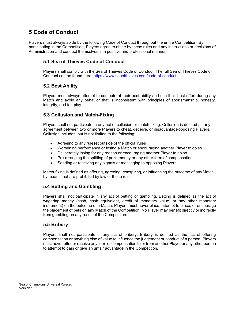# <span id="page-7-0"></span>**5 Code of Conduct**

<span id="page-7-1"></span>Players must always abide by the following Code of Conduct throughout the entire Competition. By participating in the Competition, Players agree to abide by these rules and any instructions or decisions of Administration and conduct themselves in a positive and professional manner.

# **5.1 Sea of Thieves Code of Conduct**

Players shall comply with the Sea of Thieves Code of Conduct. The full Sea of Thieves Code of Conduct can be found here:<https://www.seaofthieves.com/code-of-conduct>

### <span id="page-7-2"></span>**5.2 Best Ability**

Players must always attempt to compete at their best ability and use their best effort during any Match and avoid any behavior that is inconsistent with principles of sportsmanship, honesty, integrity, and fair play.

### <span id="page-7-3"></span>**5.3 Collusion and Match-Fixing**

Players shall not participate in any act of collusion or match-fixing. Collusion is defined as any agreement between two or more Players to cheat, deceive, or disadvantage opposing Players. Collusion includes, but is not limited to the following:

- Agreeing to any ruleset outside of the official rules
- Worsening performance or losing a Match or encouraging another Player to do so
- Deliberately losing for any reason or encouraging another Player to do so
- Pre-arranging the splitting of prize money or any other form of compensation
- Sending or receiving any signals or messaging to opposing Players

Match-fixing is defined as offering, agreeing, conspiring, or influencing the outcome of any Match by means that are prohibited by law or these rules.

# <span id="page-7-4"></span>**5.4 Betting and Gambling**

Players shall not participate in any act of betting or gambling. Betting is defined as the act of wagering money (cash, cash equivalent, credit of monetary value, or any other monetary instrument) on the outcome of a Match. Players must never place, attempt to place, or encourage the placement of bets on any Match of the Competition. No Player may benefit directly or indirectly from gambling on any result of the Competition.

#### <span id="page-7-5"></span>**5.5 Bribery**

Players shall not participate in any act of bribery. Bribery is defined as the act of offering compensation or anything else of value to influence the judgement or conduct of a person. Players must never offer or receive any form of compensation to or from another Player or any other person to attempt to gain or give an unfair advantage in the Competition.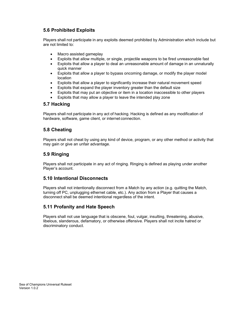# <span id="page-8-0"></span>**5.6 Prohibited Exploits**

Players shall not participate in any exploits deemed prohibited by Administration which include but are not limited to:

- Macro assisted gameplay
- Exploits that allow multiple, or single, projectile weapons to be fired unreasonable fast
- Exploits that allow a player to deal an unreasonable amount of damage in an unnaturally quick manner
- Exploits that allow a player to bypass oncoming damage, or modify the player model location
- Exploits that allow a player to significantly increase their natural movement speed
- Exploits that expand the player inventory greater than the default size
- Exploits that may put an objective or item in a location inaccessible to other players
- Exploits that may allow a player to leave the intended play zone

#### **5.7 Hacking**

Players shall not participate in any act of hacking. Hacking is defined as any modification of hardware, software, game client, or internet connection.

#### **5.8 Cheating**

Players shall not cheat by using any kind of device, program, or any other method or activity that may gain or give an unfair advantage.

#### <span id="page-8-1"></span>**5.9 Ringing**

Players shall not participate in any act of ringing. Ringing is defined as playing under another Player's account.

#### <span id="page-8-2"></span>**5.10 Intentional Disconnects**

Players shall not intentionally disconnect from a Match by any action (e.g. quitting the Match, turning off PC, unplugging ethernet cable, etc.). Any action from a Player that causes a disconnect shall be deemed intentional regardless of the intent.

#### **5.11 Profanity and Hate Speech**

<span id="page-8-3"></span>Players shall not use language that is obscene, foul, vulgar, insulting, threatening, abusive, libelous, slanderous, defamatory, or otherwise offensive. Players shall not incite hatred or discriminatory conduct.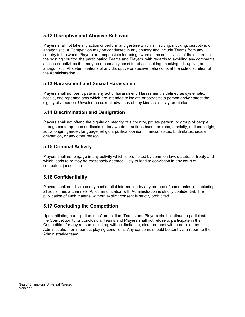### <span id="page-9-0"></span>**5.12 Disruptive and Abusive Behavior**

Players shall not take any action or perform any gesture which is insulting, mocking, disruptive, or antagonistic. A Competition may be conducted in any country and include Teams from any country in the world. Players are responsible for being aware of the sensitivities of the cultures of the hosting country, the participating Teams and Players, with regards to avoiding any comments, actions or activities that may be reasonably constituted as insulting, mocking, disruptive, or antagonistic. All determinations of any disruptive or abusive behavior is at the sole discretion of the Administration.

### **5.13 Harassment and Sexual Harassment**

Players shall not participate in any act of harassment. Harassment is defined as systematic, hostile, and repeated acts which are intended to isolate or ostracize a person and/or affect the dignity of a person. Unwelcome sexual advances of any kind are strictly prohibited.

### **5.14 Discrimination and Denigration**

Players shall not offend the dignity or integrity of a country, private person, or group of people through contemptuous or discriminatory words or actions based on race, ethnicity, national origin, social origin, gender, language, religion, political opinion, financial status, birth status, sexual orientation, or any other reason.

### **5.15 Criminal Activity**

Players shall not engage in any activity which is prohibited by common law, statute, or treaty and which leads to or may be reasonably deemed likely to lead to conviction in any court of competent jurisdiction.

# **5.16 Confidentiality**

Players shall not disclose any confidential information by any method of communication including all social media channels. All communication with Administration is strictly confidential. The publication of such material without explicit consent is strictly prohibited.

#### <span id="page-9-1"></span>**5.17 Concluding the Competition**

Upon initiating participation in a Competition, Teams and Players shall continue to participate in the Competition to its conclusion. Teams and Players shall not refuse to participate in the Competition for any reason including, without limitation, disagreement with a decision by Administration, or imperfect playing conditions. Any concerns should be sent via a report to the Administrative team.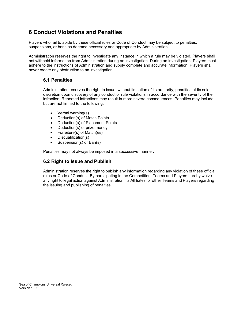# <span id="page-10-0"></span>**6 Conduct Violations and Penalties**

Players who fail to abide by these official rules or Code of Conduct may be subject to penalties, suspensions, or bans as deemed necessary and appropriate by Administration.

Administration reserves the right to investigate any instance in which a rule may be violated. Players shall not withhold information from Administration during an investigation. During an investigation, Players must adhere to the instructions of Administration and supply complete and accurate information. Players shall never create any obstruction to an investigation.

#### <span id="page-10-1"></span>**6.1 Penalties**

Administration reserves the right to issue, without limitation of its authority, penalties at its sole discretion upon discovery of any conduct or rule violations in accordance with the severity of the infraction. Repeated infractions may result in more severe consequences. Penalties may include, but are not limited to the following:

- Verbal warning(s)
- Deduction(s) of Match Points
- Deduction(s) of Placement Points
- Deduction(s) of prize money
- Forfeiture(s) of Match(es)
- Disqualification(s)
- Suspension(s) or Ban(s)

Penalties may not always be imposed in a successive manner.

#### <span id="page-10-2"></span>**6.2 Right to Issue and Publish**

Administration reserves the right to publish any information regarding any violation of these official rules or Code of Conduct. By participating in the Competition, Teams and Players hereby waive any right to legal action against Administration, its Affiliates, or other Teams and Players regarding the issuing and publishing of penalties.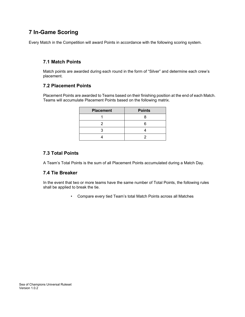# **7 In-Game Scoring**

Every Match in the Competition will award Points in accordance with the following scoring system.

### **7.1 Match Points**

Match points are awarded during each round in the form of "Silver" and determine each crew's placement.

#### **7.2 Placement Points**

Placement Points are awarded to Teams based on their finishing position at the end of each Match. Teams will accumulate Placement Points based on the following matrix.

| <b>Placement</b> | <b>Points</b> |
|------------------|---------------|
|                  |               |
|                  |               |
|                  |               |
|                  |               |

### **7.3 Total Points**

A Team's Total Points is the sum of all Placement Points accumulated during a Match Day.

#### **7.4 Tie Breaker**

In the event that two or more teams have the same number of Total Points, the following rules shall be applied to break the tie.

• Compare every tied Team's total Match Points across all Matches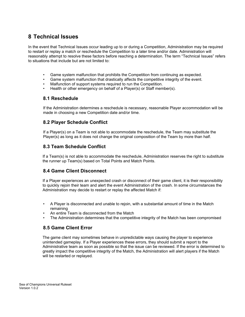# **8 Technical Issues**

In the event that Technical Issues occur leading up to or during a Competition, Administration may be required to restart or replay a match or reschedule the Competition to a later time and/or date. Administration will reasonably attempt to resolve these factors before reaching a determination. The term "Technical Issues" refers to situations that include but are not limited to:

- Game system malfunction that prohibits the Competition from continuing as expected.
- Game system malfunction that drastically affects the competitive integrity of the event.
- Malfunction of support systems required to run the Competition.
- Health or other emergency on behalf of a Player(s) or Staff member(s).

#### **8.1 Reschedule**

If the Administration determines a reschedule is necessary, reasonable Player accommodation will be made in choosing a new Competition date and/or time.

### **8.2 Player Schedule Conflict**

If a Player(s) on a Team is not able to accommodate the reschedule, the Team may substitute the Player(s) as long as it does not change the original composition of the Team by more than half.

### **8.3 Team Schedule Conflict**

If a Team(s) is not able to accommodate the reschedule, Administration reserves the right to substitute the runner up Team(s) based on Total Points and Match Points.

#### **8.4 Game Client Disconnect**

If a Player experiences an unexpected crash or disconnect of their game client, it is their responsibility to quickly rejoin their team and alert the event Administration of the crash. In some circumstances the Administration may decide to restart or replay the affected Match if:

- A Player is disconnected and unable to rejoin, with a substantial amount of time in the Match remaining
- An entire Team is disconnected from the Match
- The Administration determines that the competitive integrity of the Match has been compromised

#### **8.5 Game Client Error**

The game client may sometimes behave in unpredictable ways causing the player to experience unintended gameplay. If a Player experiences these errors, they should submit a report to the Administrative team as soon as possible so that the issue can be reviewed. If the error is determined to greatly impact the competitive integrity of the Match, the Administration will alert players if the Match will be restarted or replayed.